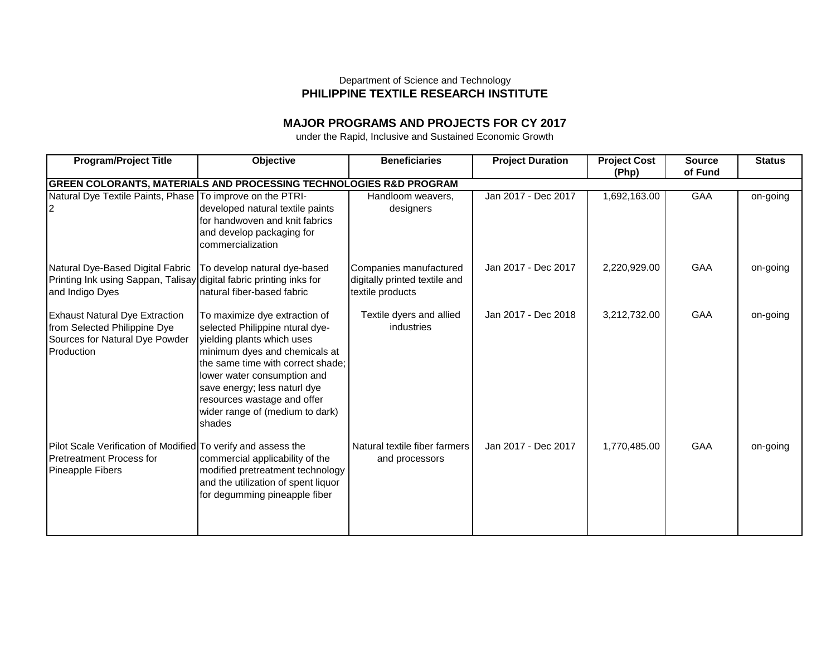## Department of Science and Technology **PHILIPPINE TEXTILE RESEARCH INSTITUTE**

## **MAJOR PROGRAMS AND PROJECTS FOR CY 2017**

under the Rapid, Inclusive and Sustained Economic Growth

| <b>Program/Project Title</b>                                                                                               | <b>Objective</b>                                                                                                                                                                                                                                                                                                | <b>Beneficiaries</b>                                                        | <b>Project Duration</b> | <b>Project Cost</b><br>(Php) | <b>Source</b><br>of Fund | <b>Status</b> |
|----------------------------------------------------------------------------------------------------------------------------|-----------------------------------------------------------------------------------------------------------------------------------------------------------------------------------------------------------------------------------------------------------------------------------------------------------------|-----------------------------------------------------------------------------|-------------------------|------------------------------|--------------------------|---------------|
|                                                                                                                            | GREEN COLORANTS, MATERIALS AND PROCESSING TECHNOLOGIES R&D PROGRAM                                                                                                                                                                                                                                              |                                                                             |                         |                              |                          |               |
| Natural Dye Textile Paints, Phase To improve on the PTRI-                                                                  | developed natural textile paints<br>for handwoven and knit fabrics<br>and develop packaging for<br>commercialization                                                                                                                                                                                            | Handloom weavers,<br>designers                                              | Jan 2017 - Dec 2017     | 1,692,163.00                 | GAA                      | on-going      |
| Natural Dye-Based Digital Fabric<br>Printing Ink using Sappan, Talisay digital fabric printing inks for<br>and Indigo Dyes | To develop natural dye-based<br>natural fiber-based fabric                                                                                                                                                                                                                                                      | Companies manufactured<br>digitally printed textile and<br>textile products | Jan 2017 - Dec 2017     | 2,220,929.00                 | GAA                      | on-going      |
| <b>Exhaust Natural Dye Extraction</b><br>from Selected Philippine Dye<br>Sources for Natural Dye Powder<br>Production      | To maximize dye extraction of<br>selected Philippine ntural dye-<br>yielding plants which uses<br>minimum dyes and chemicals at<br>the same time with correct shade:<br>lower water consumption and<br>save energy; less naturl dye<br>resources wastage and offer<br>wider range of (medium to dark)<br>shades | Textile dyers and allied<br>industries                                      | Jan 2017 - Dec 2018     | 3,212,732.00                 | GAA                      | on-going      |
| Pilot Scale Verification of Modified To verify and assess the<br><b>Pretreatment Process for</b><br>Pineapple Fibers       | commercial applicability of the<br>modified pretreatment technology<br>and the utilization of spent liquor<br>for degumming pineapple fiber                                                                                                                                                                     | Natural textile fiber farmers<br>and processors                             | Jan 2017 - Dec 2017     | 1,770,485.00                 | GAA                      | on-going      |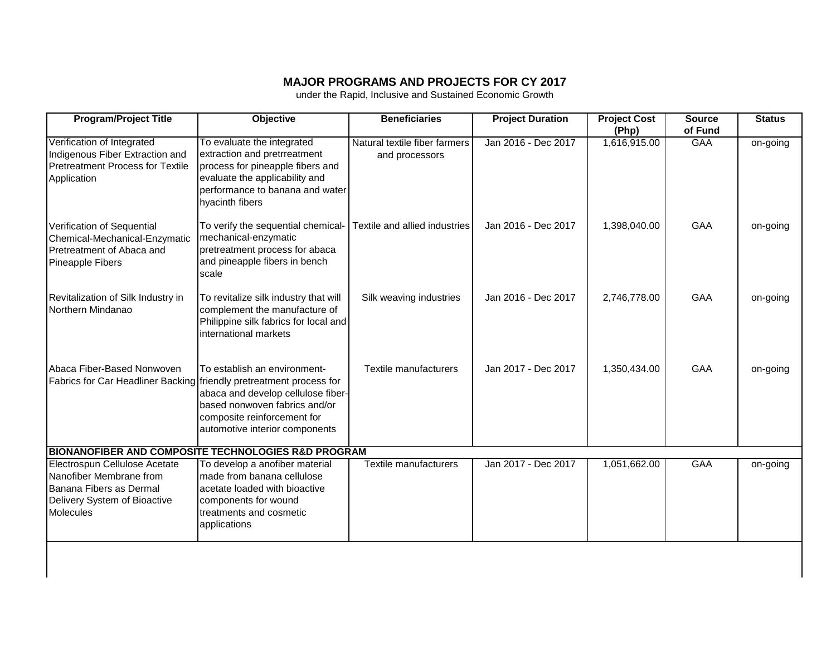## **MAJOR PROGRAMS AND PROJECTS FOR CY 2017**

under the Rapid, Inclusive and Sustained Economic Growth

| <b>Program/Project Title</b>                                                                                                            | <b>Objective</b>                                                                                                                                                                       | <b>Beneficiaries</b>                            | <b>Project Duration</b> | <b>Project Cost</b><br>(Php) | <b>Source</b><br>of Fund | <b>Status</b> |
|-----------------------------------------------------------------------------------------------------------------------------------------|----------------------------------------------------------------------------------------------------------------------------------------------------------------------------------------|-------------------------------------------------|-------------------------|------------------------------|--------------------------|---------------|
| Verification of Integrated<br>Indigenous Fiber Extraction and<br><b>Pretreatment Process for Textile</b><br>Application                 | To evaluate the integrated<br>extraction and pretrreatment<br>process for pineapple fibers and<br>evaluate the applicability and<br>performance to banana and water<br>hyacinth fibers | Natural textile fiber farmers<br>and processors | Jan 2016 - Dec 2017     | 1,616,915.00                 | <b>GAA</b>               | on-going      |
| Verification of Sequential<br>Chemical-Mechanical-Enzymatic<br>Pretreatment of Abaca and<br>Pineapple Fibers                            | To verify the sequential chemical-<br>mechanical-enzymatic<br>pretreatment process for abaca<br>and pineapple fibers in bench<br>scale                                                 | Textile and allied industries                   | Jan 2016 - Dec 2017     | 1,398,040.00                 | GAA                      | on-going      |
| Revitalization of Silk Industry in<br>Northern Mindanao                                                                                 | To revitalize silk industry that will<br>complement the manufacture of<br>Philippine silk fabrics for local and<br>international markets                                               | Silk weaving industries                         | Jan 2016 - Dec 2017     | 2,746,778.00                 | GAA                      | on-going      |
| Abaca Fiber-Based Nonwoven<br>Fabrics for Car Headliner Backing friendly pretreatment process for                                       | To establish an environment-<br>abaca and develop cellulose fiber-<br>based nonwoven fabrics and/or<br>composite reinforcement for<br>automotive interior components                   | Textile manufacturers                           | Jan 2017 - Dec 2017     | 1,350,434.00                 | <b>GAA</b>               | on-going      |
| <b>BIONANOFIBER AND COMPOSITE TECHNOLOGIES R&amp;D PROGRAM</b>                                                                          |                                                                                                                                                                                        |                                                 |                         |                              |                          |               |
| Electrospun Cellulose Acetate<br>Nanofiber Membrane from<br>Banana Fibers as Dermal<br>Delivery System of Bioactive<br><b>Molecules</b> | To develop a anofiber material<br>made from banana cellulose<br>acetate loaded with bioactive<br>components for wound<br>treatments and cosmetic<br>applications                       | <b>Textile manufacturers</b>                    | Jan 2017 - Dec 2017     | 1,051,662.00                 | <b>GAA</b>               | on-going      |
|                                                                                                                                         |                                                                                                                                                                                        |                                                 |                         |                              |                          |               |